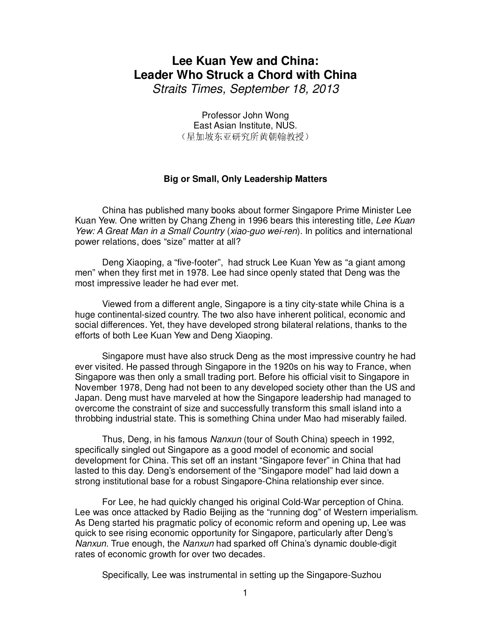## **Lee Kuan Yew and China: Leader Who Struck a Chord with China**

Straits Times, September 18, 2013

Professor John Wong East Asian Institute, NUS. (星加坡东亚研究所黄朝翰教授)

## **Big or Small, Only Leadership Matters**

 China has published many books about former Singapore Prime Minister Lee Kuan Yew. One written by Chang Zheng in 1996 bears this interesting title, Lee Kuan Yew: A Great Man in a Small Country (xiao-quo wei-ren). In politics and international power relations, does "size" matter at all?

Deng Xiaoping, a "five-footer", had struck Lee Kuan Yew as "a giant among men" when they first met in 1978. Lee had since openly stated that Deng was the most impressive leader he had ever met.

 Viewed from a different angle, Singapore is a tiny city-state while China is a huge continental-sized country. The two also have inherent political, economic and social differences. Yet, they have developed strong bilateral relations, thanks to the efforts of both Lee Kuan Yew and Deng Xiaoping.

 Singapore must have also struck Deng as the most impressive country he had ever visited. He passed through Singapore in the 1920s on his way to France, when Singapore was then only a small trading port. Before his official visit to Singapore in November 1978, Deng had not been to any developed society other than the US and Japan. Deng must have marveled at how the Singapore leadership had managed to overcome the constraint of size and successfully transform this small island into a throbbing industrial state. This is something China under Mao had miserably failed.

 Thus, Deng, in his famous Nanxun (tour of South China) speech in 1992, specifically singled out Singapore as a good model of economic and social development for China. This set off an instant "Singapore fever" in China that had lasted to this day. Deng's endorsement of the "Singapore model" had laid down a strong institutional base for a robust Singapore-China relationship ever since.

For Lee, he had quickly changed his original Cold-War perception of China. Lee was once attacked by Radio Beijing as the "running dog" of Western imperialism. As Deng started his pragmatic policy of economic reform and opening up, Lee was quick to see rising economic opportunity for Singapore, particularly after Deng's Nanxun. True enough, the Nanxun had sparked off China's dynamic double-digit rates of economic growth for over two decades.

Specifically, Lee was instrumental in setting up the Singapore-Suzhou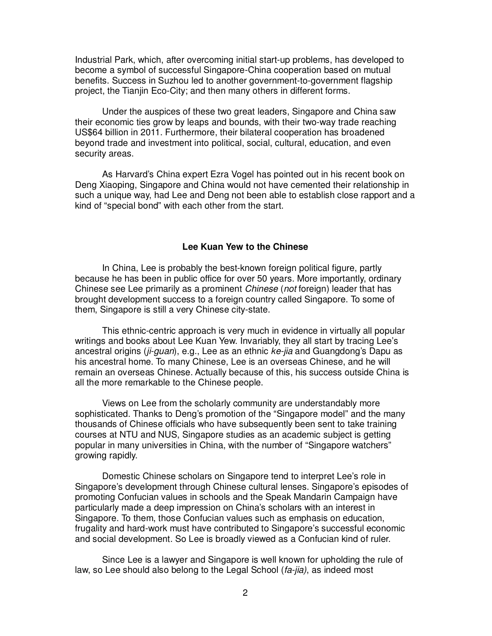Industrial Park, which, after overcoming initial start-up problems, has developed to become a symbol of successful Singapore-China cooperation based on mutual benefits. Success in Suzhou led to another government-to-government flagship project, the Tianjin Eco-City; and then many others in different forms.

Under the auspices of these two great leaders, Singapore and China saw their economic ties grow by leaps and bounds, with their two-way trade reaching US\$64 billion in 2011. Furthermore, their bilateral cooperation has broadened beyond trade and investment into political, social, cultural, education, and even security areas.

As Harvard's China expert Ezra Vogel has pointed out in his recent book on Deng Xiaoping, Singapore and China would not have cemented their relationship in such a unique way, had Lee and Deng not been able to establish close rapport and a kind of "special bond" with each other from the start.

## **Lee Kuan Yew to the Chinese**

 In China, Lee is probably the best-known foreign political figure, partly because he has been in public office for over 50 years. More importantly, ordinary Chinese see Lee primarily as a prominent Chinese (not foreign) leader that has brought development success to a foreign country called Singapore. To some of them, Singapore is still a very Chinese city-state.

 This ethnic-centric approach is very much in evidence in virtually all popular writings and books about Lee Kuan Yew. Invariably, they all start by tracing Lee's ancestral origins (ji-guan), e.g., Lee as an ethnic  $ke$ -jia and Guangdong's Dapu as his ancestral home. To many Chinese, Lee is an overseas Chinese, and he will remain an overseas Chinese. Actually because of this, his success outside China is all the more remarkable to the Chinese people.

 Views on Lee from the scholarly community are understandably more sophisticated. Thanks to Deng's promotion of the "Singapore model" and the many thousands of Chinese officials who have subsequently been sent to take training courses at NTU and NUS, Singapore studies as an academic subject is getting popular in many universities in China, with the number of "Singapore watchers" growing rapidly.

 Domestic Chinese scholars on Singapore tend to interpret Lee's role in Singapore's development through Chinese cultural lenses. Singapore's episodes of promoting Confucian values in schools and the Speak Mandarin Campaign have particularly made a deep impression on China's scholars with an interest in Singapore. To them, those Confucian values such as emphasis on education, frugality and hard-work must have contributed to Singapore's successful economic and social development. So Lee is broadly viewed as a Confucian kind of ruler.

 Since Lee is a lawyer and Singapore is well known for upholding the rule of law, so Lee should also belong to the Legal School (fa-jia), as indeed most